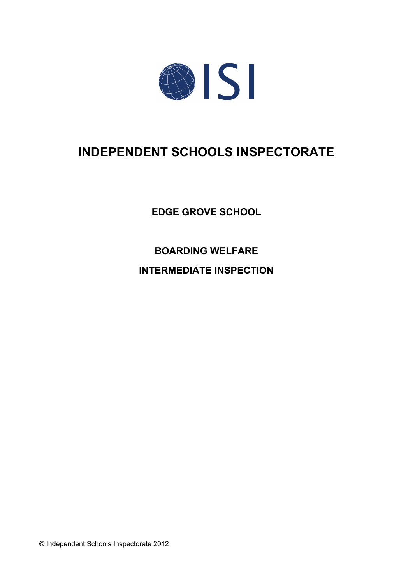

# **INDEPENDENT SCHOOLS INSPECTORATE**

**EDGE GROVE SCHOOL**

**BOARDING WELFARE**

**INTERMEDIATE INSPECTION**

© Independent Schools Inspectorate 2012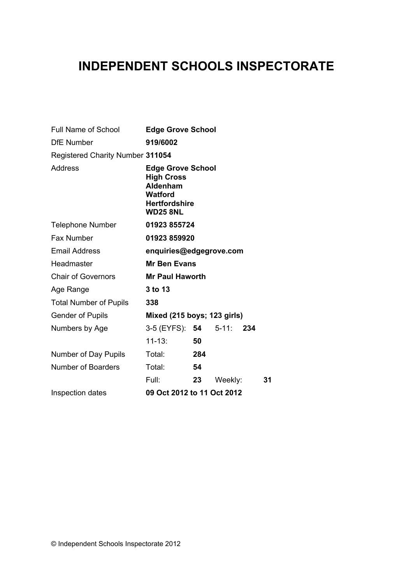## **INDEPENDENT SCHOOLS INSPECTORATE**

| Full Name of School              | <b>Edge Grove School</b>                                                                                               |     |         |     |    |
|----------------------------------|------------------------------------------------------------------------------------------------------------------------|-----|---------|-----|----|
| <b>DfE Number</b>                | 919/6002                                                                                                               |     |         |     |    |
| Registered Charity Number 311054 |                                                                                                                        |     |         |     |    |
| Address                          | <b>Edge Grove School</b><br><b>High Cross</b><br>Aldenham<br><b>Watford</b><br><b>Hertfordshire</b><br><b>WD25 8NL</b> |     |         |     |    |
| <b>Telephone Number</b>          | 01923 855724                                                                                                           |     |         |     |    |
| <b>Fax Number</b>                | 01923 859920                                                                                                           |     |         |     |    |
| <b>Email Address</b>             | enquiries@edgegrove.com                                                                                                |     |         |     |    |
| Headmaster                       | <b>Mr Ben Evans</b>                                                                                                    |     |         |     |    |
| <b>Chair of Governors</b>        | <b>Mr Paul Haworth</b>                                                                                                 |     |         |     |    |
| Age Range                        | 3 to 13                                                                                                                |     |         |     |    |
| <b>Total Number of Pupils</b>    | 338                                                                                                                    |     |         |     |    |
| <b>Gender of Pupils</b>          | Mixed (215 boys; 123 girls)                                                                                            |     |         |     |    |
| Numbers by Age                   | 3-5 (EYFS): 54 5-11:                                                                                                   |     |         | 234 |    |
|                                  | $11 - 13:$                                                                                                             | 50  |         |     |    |
| Number of Day Pupils             | Total:                                                                                                                 | 284 |         |     |    |
| <b>Number of Boarders</b>        | Total:                                                                                                                 | 54  |         |     |    |
|                                  | Full: L                                                                                                                | 23  | Weekly: |     | 31 |
| Inspection dates                 | 09 Oct 2012 to 11 Oct 2012                                                                                             |     |         |     |    |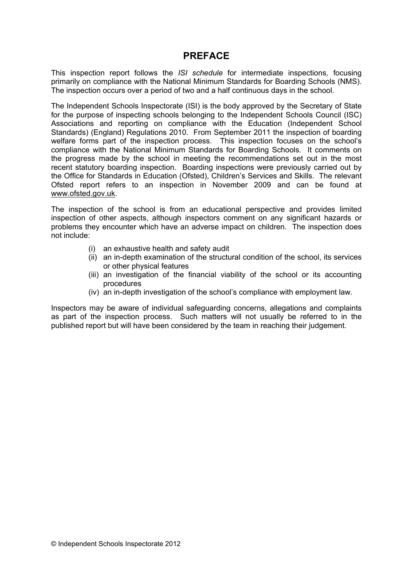### **PREFACE**

This inspection report follows the *ISI schedule* for intermediate inspections*,* focusing primarily on compliance with the National Minimum Standards for Boarding Schools (NMS). The inspection occurs over a period of two and a half continuous days in the school.

The Independent Schools Inspectorate (ISI) is the body approved by the Secretary of State for the purpose of inspecting schools belonging to the Independent Schools Council (ISC) Associations and reporting on compliance with the Education (Independent School Standards) (England) Regulations 2010. From September 2011 the inspection of boarding welfare forms part of the inspection process. This inspection focuses on the school's compliance with the National Minimum Standards for Boarding Schools. It comments on the progress made by the school in meeting the recommendations set out in the most recent statutory boarding inspection. Boarding inspections were previously carried out by the Office for Standards in Education (Ofsted), Children's Services and Skills. The relevant Ofsted report refers to an inspection in November 2009 and can be found at [www.ofsted.gov.uk.](http://www.ofsted.gov.uk)

The inspection of the school is from an educational perspective and provides limited inspection of other aspects, although inspectors comment on any significant hazards or problems they encounter which have an adverse impact on children. The inspection does not include:

- (i) an exhaustive health and safety audit
- (ii) an in-depth examination of the structural condition of the school, its services or other physical features
- (iii) an investigation of the financial viability of the school or its accounting procedures
- (iv) an in-depth investigation of the school's compliance with employment law.

Inspectors may be aware of individual safeguarding concerns, allegations and complaints as part of the inspection process. Such matters will not usually be referred to in the published report but will have been considered by the team in reaching their judgement.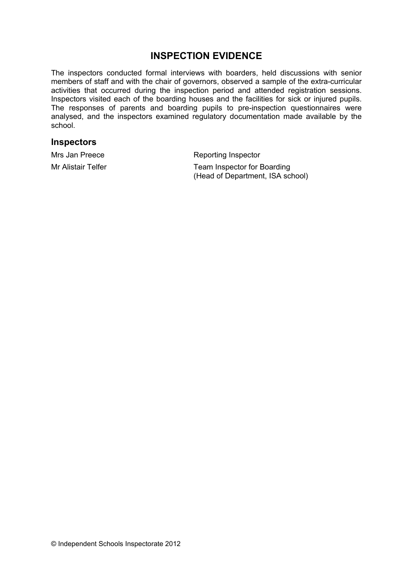## **INSPECTION EVIDENCE**

The inspectors conducted formal interviews with boarders, held discussions with senior members of staff and with the chair of governors, observed a sample of the extra-curricular activities that occurred during the inspection period and attended registration sessions. Inspectors visited each of the boarding houses and the facilities for sick or injured pupils. The responses of parents and boarding pupils to pre-inspection questionnaires were analysed, and the inspectors examined regulatory documentation made available by the school.

#### **Inspectors**

Mrs Jan Preece Reporting Inspector

Mr Alistair Telfer Team Inspector for Boarding (Head of Department, ISA school)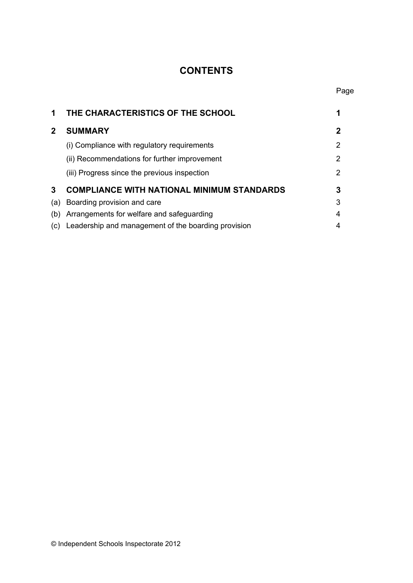## **CONTENTS**

| 1            | THE CHARACTERISTICS OF THE SCHOOL                   |   |
|--------------|-----------------------------------------------------|---|
| $\mathbf{2}$ | <b>SUMMARY</b>                                      | 2 |
|              | (i) Compliance with regulatory requirements         | 2 |
|              | (ii) Recommendations for further improvement        | 2 |
|              | (iii) Progress since the previous inspection        | 2 |
| 3            | <b>COMPLIANCE WITH NATIONAL MINIMUM STANDARDS</b>   | 3 |
| (a)          | Boarding provision and care                         | 3 |
| (b)          | Arrangements for welfare and safeguarding           | 4 |
| (C)          | Leadership and management of the boarding provision | 4 |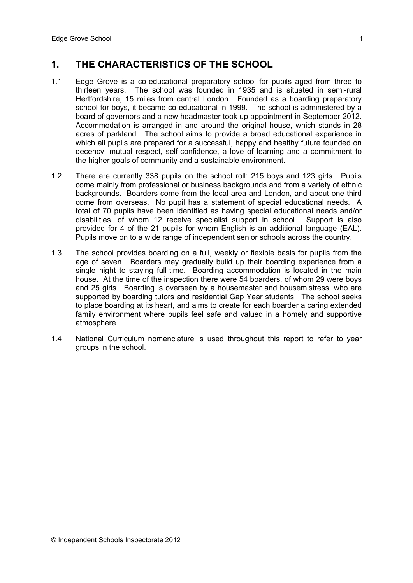## **1. THE CHARACTERISTICS OF THE SCHOOL**

- 1.1 Edge Grove is a co-educational preparatory school for pupils aged from three to thirteen years. The school was founded in 1935 and is situated in semi-rural Hertfordshire, 15 miles from central London. Founded as a boarding preparatory school for boys, it became co-educational in 1999. The school is administered by a board of governors and a new headmaster took up appointment in September 2012. Accommodation is arranged in and around the original house, which stands in 28 acres of parkland. The school aims to provide a broad educational experience in which all pupils are prepared for a successful, happy and healthy future founded on decency, mutual respect, self-confidence, a love of learning and a commitment to the higher goals of community and a sustainable environment.
- 1.2 There are currently 338 pupils on the school roll: 215 boys and 123 girls. Pupils come mainly from professional or business backgrounds and from a variety of ethnic backgrounds. Boarders come from the local area and London, and about one-third come from overseas. No pupil has a statement of special educational needs. A total of 70 pupils have been identified as having special educational needs and/or disabilities, of whom 12 receive specialist support in school. Support is also provided for 4 of the 21 pupils for whom English is an additional language (EAL). Pupils move on to a wide range of independent senior schools across the country.
- 1.3 The school provides boarding on a full, weekly or flexible basis for pupils from the age of seven. Boarders may gradually build up their boarding experience from a single night to staying full-time. Boarding accommodation is located in the main house. At the time of the inspection there were 54 boarders, of whom 29 were boys and 25 girls.Boarding is overseen by a housemaster and housemistress, who are supported by boarding tutors and residential Gap Year students. The school seeks to place boarding at its heart, and aims to create for each boarder a caring extended family environment where pupils feel safe and valued in a homely and supportive atmosphere.
- 1.4 National Curriculum nomenclature is used throughout this report to refer to year groups in the school.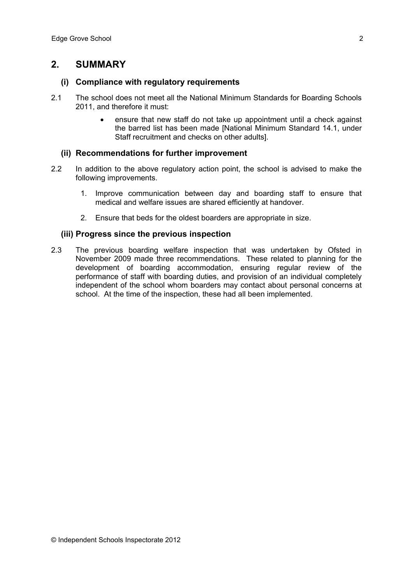## **2. SUMMARY**

#### **(i) Compliance with regulatory requirements**

- 2.1 The school does not meet all the National Minimum Standards for Boarding Schools 2011, and therefore it must:
	- ensure that new staff do not take up appointment until a check against the barred list has been made [National Minimum Standard 14.1, under Staff recruitment and checks on other adults].

#### **(ii) Recommendations for further improvement**

- 2.2 In addition to the above regulatory action point, the school is advised to make the following improvements.
	- 1. Improve communication between day and boarding staff to ensure that medical and welfare issues are shared efficiently at handover.
	- 2. Ensure that beds for the oldest boarders are appropriate in size.

#### **(iii) Progress since the previous inspection**

2.3 The previous boarding welfare inspection that was undertaken by Ofsted in November 2009 made three recommendations. These related to planning for the development of boarding accommodation, ensuring regular review of the performance of staff with boarding duties, and provision of an individual completely independent of the school whom boarders may contact about personal concerns at school. At the time of the inspection, these had all been implemented.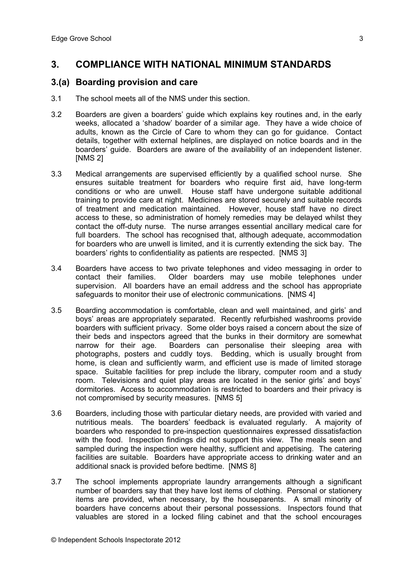## **3. COMPLIANCE WITH NATIONAL MINIMUM STANDARDS**

#### **3.(a) Boarding provision and care**

- 3.1 The school meets all of the NMS under this section.
- 3.2 Boarders are given a boarders' guide which explains key routines and, in the early weeks, allocated a 'shadow' boarder of a similar age. They have a wide choice of adults, known as the Circle of Care to whom they can go for guidance. Contact details, together with external helplines, are displayed on notice boards and in the boarders' guide. Boarders are aware of the availability of an independent listener. [NMS 2]
- 3.3 Medical arrangements are supervised efficiently by a qualified school nurse. She ensures suitable treatment for boarders who require first aid, have long-term conditions or who are unwell. House staff have undergone suitable additional training to provide care at night. Medicines are stored securely and suitable records of treatment and medication maintained. However, house staff have no direct access to these, so administration of homely remedies may be delayed whilst they contact the off-duty nurse. The nurse arranges essential ancillary medical care for full boarders. The school has recognised that, although adequate, accommodation for boarders who are unwell is limited, and it is currently extending the sick bay. The boarders' rights to confidentiality as patients are respected. [NMS 3]
- 3.4 Boarders have access to two private telephones and video messaging in order to contact their families. Older boarders may use mobile telephones under supervision. All boarders have an email address and the school has appropriate safeguards to monitor their use of electronic communications. [NMS 4]
- 3.5 Boarding accommodation is comfortable, clean and well maintained, and girls' and boys' areas are appropriately separated. Recently refurbished washrooms provide boarders with sufficient privacy. Some older boys raised a concern about the size of their beds and inspectors agreed that the bunks in their dormitory are somewhat narrow for their age. Boarders can personalise their sleeping area with photographs, posters and cuddly toys. Bedding, which is usually brought from home, is clean and sufficiently warm, and efficient use is made of limited storage space. Suitable facilities for prep include the library, computer room and a study room. Televisions and quiet play areas are located in the senior girls' and boys' dormitories. Access to accommodation is restricted to boarders and their privacy is not compromised by security measures. [NMS 5]
- 3.6 Boarders, including those with particular dietary needs, are provided with varied and nutritious meals. The boarders' feedback is evaluated regularly. A majority of boarders who responded to pre-inspection questionnaires expressed dissatisfaction with the food. Inspection findings did not support this view. The meals seen and sampled during the inspection were healthy, sufficient and appetising. The catering facilities are suitable. Boarders have appropriate access to drinking water and an additional snack is provided before bedtime. [NMS 8]
- 3.7 The school implements appropriate laundry arrangements although a significant number of boarders say that they have lost items of clothing. Personal or stationery items are provided, when necessary, by the houseparents. A small minority of boarders have concerns about their personal possessions. Inspectors found that valuables are stored in a locked filing cabinet and that the school encourages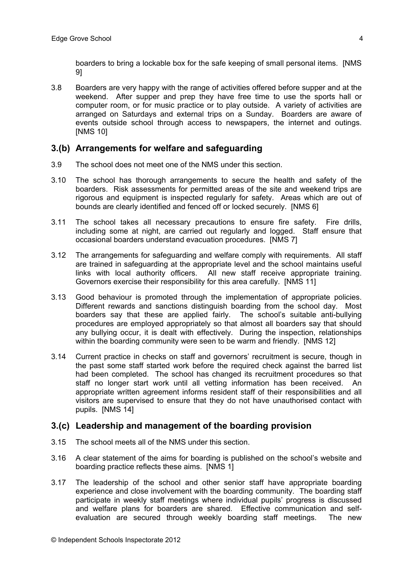boarders to bring a lockable box for the safe keeping of small personal items. [NMS 9]

3.8 Boarders are very happy with the range of activities offered before supper and at the weekend. After supper and prep they have free time to use the sports hall or computer room, or for music practice or to play outside. A variety of activities are arranged on Saturdays and external trips on a Sunday. Boarders are aware of events outside school through access to newspapers, the internet and outings. [NMS 10]

#### **3.(b) Arrangements for welfare and safeguarding**

- 3.9 The school does not meet one of the NMS under this section.
- 3.10 The school has thorough arrangements to secure the health and safety of the boarders. Risk assessments for permitted areas of the site and weekend trips are rigorous and equipment is inspected regularly for safety. Areas which are out of bounds are clearly identified and fenced off or locked securely. [NMS 6]
- 3.11 The school takes all necessary precautions to ensure fire safety. Fire drills, including some at night, are carried out regularly and logged. Staff ensure that occasional boarders understand evacuation procedures. [NMS 7]
- 3.12 The arrangements for safeguarding and welfare comply with requirements. All staff are trained in safeguarding at the appropriate level and the school maintains useful links with local authority officers. All new staff receive appropriate training. Governors exercise their responsibility for this area carefully. [NMS 11]
- 3.13 Good behaviour is promoted through the implementation of appropriate policies. Different rewards and sanctions distinguish boarding from the school day. Most boarders say that these are applied fairly. The school's suitable anti-bullying procedures are employed appropriately so that almost all boarders say that should any bullying occur, it is dealt with effectively. During the inspection, relationships within the boarding community were seen to be warm and friendly. [NMS 12]
- 3.14 Current practice in checks on staff and governors' recruitment is secure, though in the past some staff started work before the required check against the barred list had been completed. The school has changed its recruitment procedures so that staff no longer start work until all vetting information has been received. An appropriate written agreement informs resident staff of their responsibilities and all visitors are supervised to ensure that they do not have unauthorised contact with pupils. [NMS 14]

#### **3.(c) Leadership and management of the boarding provision**

- 3.15 The school meets all of the NMS under this section.
- 3.16 A clear statement of the aims for boarding is published on the school's website and boarding practice reflects these aims. [NMS 1]
- 3.17 The leadership of the school and other senior staff have appropriate boarding experience and close involvement with the boarding community. The boarding staff participate in weekly staff meetings where individual pupils' progress is discussed and welfare plans for boarders are shared. Effective communication and selfevaluation are secured through weekly boarding staff meetings. The new